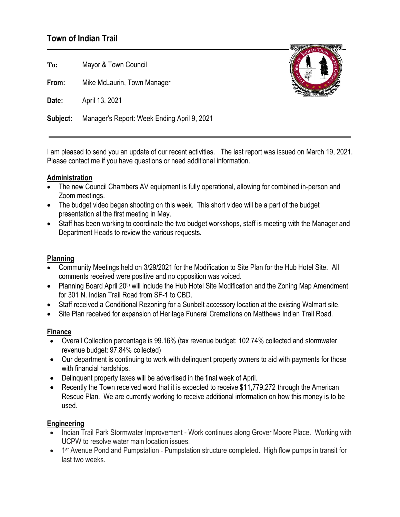# **Town of Indian Trail**

**To:** Mayor & Town Council

**From:** Mike McLaurin, Town Manager

**Date:** April 13, 2021

**Subject:** Manager's Report: Week Ending April 9, 2021

I am pleased to send you an update of our recent activities. The last report was issued on March 19, 2021. Please contact me if you have questions or need additional information.

### **Administration**

- The new Council Chambers AV equipment is fully operational, allowing for combined in-person and Zoom meetings.
- The budget video began shooting on this week. This short video will be a part of the budget presentation at the first meeting in May.
- Staff has been working to coordinate the two budget workshops, staff is meeting with the Manager and Department Heads to review the various requests.

# **Planning**

- Community Meetings held on 3/29/2021 for the Modification to Site Plan for the Hub Hotel Site. All comments received were positive and no opposition was voiced.
- Planning Board April 20<sup>th</sup> will include the Hub Hotel Site Modification and the Zoning Map Amendment for 301 N. Indian Trail Road from SF-1 to CBD.
- Staff received a Conditional Rezoning for a Sunbelt accessory location at the existing Walmart site.
- Site Plan received for expansion of Heritage Funeral Cremations on Matthews Indian Trail Road.

#### **Finance**

- Overall Collection percentage is 99.16% (tax revenue budget: 102.74% collected and stormwater revenue budget: 97.84% collected)
- Our department is continuing to work with delinquent property owners to aid with payments for those with financial hardships.
- Delinquent property taxes will be advertised in the final week of April.
- Recently the Town received word that it is expected to receive \$11,779,272 through the American Rescue Plan. We are currently working to receive additional information on how this money is to be used.

# **Engineering**

- Indian Trail Park Stormwater Improvement Work continues along Grover Moore Place. Working with UCPW to resolve water main location issues.
- 1<sup>st</sup> Avenue Pond and Pumpstation Pumpstation structure completed. High flow pumps in transit for last two weeks.